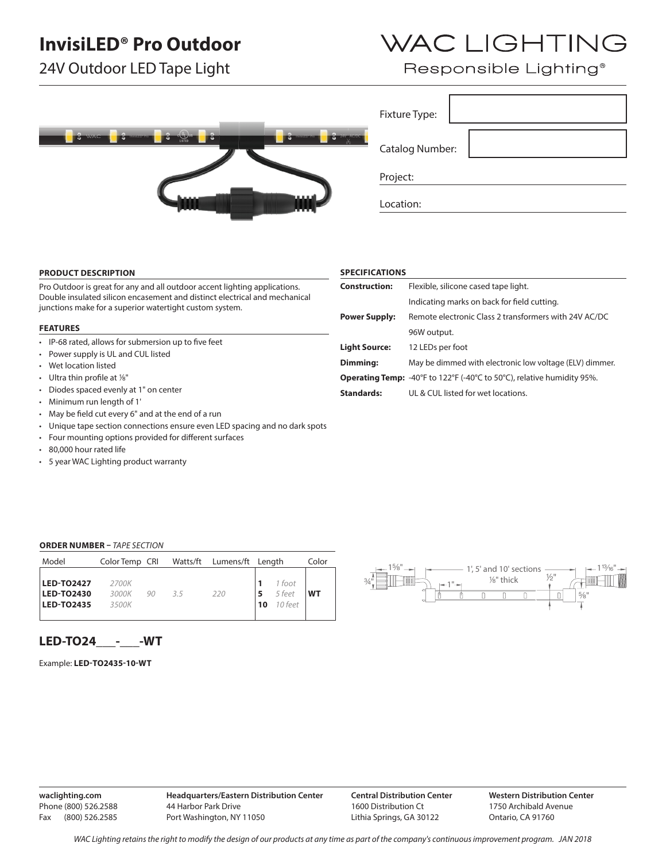## **InvisiLED® Pro Outdoor**

24V Outdoor LED Tape Light

# WAC LIGHTING

Responsible Lighting<sup>®</sup>

| шши |
|-----|
|-----|

### **PRODUCT DESCRIPTION**

Pro Outdoor is great for any and all outdoor accent lighting applications. Double insulated silicon encasement and distinct electrical and mechanical junctions make for a superior watertight custom system.

#### **FEATURES**

- IP-68 rated, allows for submersion up to five feet
- Power supply is UL and CUL listed
- Wet location listed
- Ultra thin profile at  $\frac{1}{8}$ "
- Diodes spaced evenly at 1" on center
- Minimum run length of 1'
- May be field cut every 6" and at the end of a run
- Unique tape section connections ensure even LED spacing and no dark spots
- Four mounting options provided for different surfaces
- 80,000 hour rated life
- 5 year WAC Lighting product warranty

#### **SPECIFICATIONS**

Fixture Type:

Project:

Location:

Catalog Number:

| <b>Construction:</b> | Flexible, silicone cased tape light.                                          |  |  |  |  |  |
|----------------------|-------------------------------------------------------------------------------|--|--|--|--|--|
|                      | Indicating marks on back for field cutting.                                   |  |  |  |  |  |
| <b>Power Supply:</b> | Remote electronic Class 2 transformers with 24V AC/DC                         |  |  |  |  |  |
|                      | 96W output.                                                                   |  |  |  |  |  |
| <b>Light Source:</b> | 12 LEDs per foot                                                              |  |  |  |  |  |
| Dimming:             | May be dimmed with electronic low voltage (ELV) dimmer.                       |  |  |  |  |  |
|                      | <b>Operating Temp:</b> -40°F to 122°F (-40°C to 50°C), relative humidity 95%. |  |  |  |  |  |
| <b>Standards:</b>    | UL & CUL listed for wet locations.                                            |  |  |  |  |  |

#### **ORDER NUMBER –** *TAPE SECTION*

| Model                                                       | Color Temp CRI          |    |     | Watts/ft Lumens/ft Length |          |                               | Color     |
|-------------------------------------------------------------|-------------------------|----|-----|---------------------------|----------|-------------------------------|-----------|
| <b>LED-TO2427</b><br><b>LED-TO2430</b><br><b>LED-TO2435</b> | 2700K<br>3000K<br>3500K | 90 | 3.5 | 220                       | -5<br>10 | 1 foot<br>5 feet<br>$10$ feet | <b>WT</b> |



### **LED-TO24\_\_\_-\_\_\_-WT**

Example: **LED-TO2435-10-WT**

**waclighting.com** Phone (800) 526.2588 Fax (800) 526.2585 **Headquarters/Eastern Distribution Center** 44 Harbor Park Drive Port Washington, NY 11050

**Central Distribution Center** 1600 Distribution Ct Lithia Springs, GA 30122

**Western Distribution Center**  1750 Archibald Avenue Ontario, CA 91760

*WAC Lighting retains the right to modify the design of our products at any time as part of the company's continuous improvement program. Jan 2018*